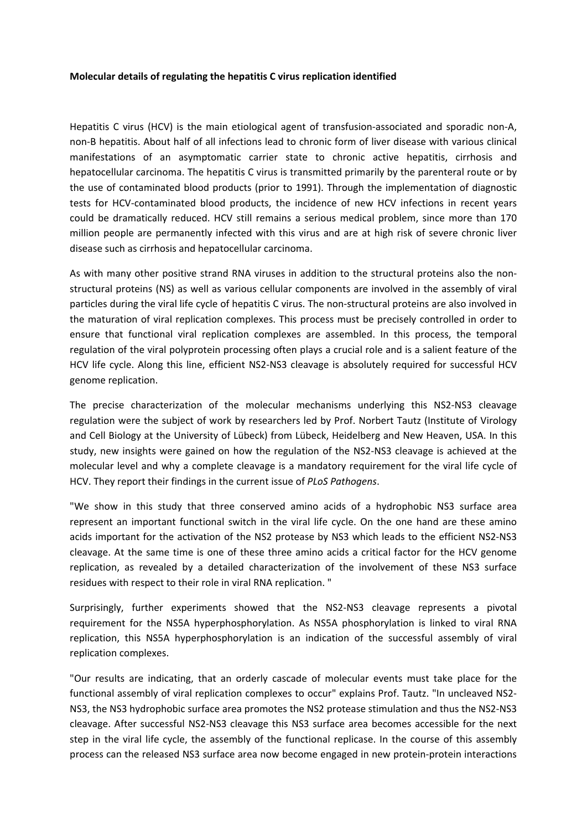## **Molecular details of regulating the hepatitis C virus replication identified**

Hepatitis C virus (HCV) is the main etiological agent of transfusion‐associated and sporadic non‐A, non‐B hepatitis. About half of all infections lead to chronic form of liver disease with various clinical manifestations of an asymptomatic carrier state to chronic active hepatitis, cirrhosis and hepatocellular carcinoma. The hepatitis C virus is transmitted primarily by the parenteral route or by the use of contaminated blood products (prior to 1991). Through the implementation of diagnostic tests for HCV‐contaminated blood products, the incidence of new HCV infections in recent years could be dramatically reduced. HCV still remains a serious medical problem, since more than 170 million people are permanently infected with this virus and are at high risk of severe chronic liver disease such as cirrhosis and hepatocellular carcinoma.

As with many other positive strand RNA viruses in addition to the structural proteins also the nonstructural proteins (NS) as well as various cellular components are involved in the assembly of viral particles during the viral life cycle of hepatitis C virus. The non‐structural proteins are also involved in the maturation of viral replication complexes. This process must be precisely controlled in order to ensure that functional viral replication complexes are assembled. In this process, the temporal regulation of the viral polyprotein processing often plays a crucial role and is a salient feature of the HCV life cycle. Along this line, efficient NS2‐NS3 cleavage is absolutely required for successful HCV genome replication.

The precise characterization of the molecular mechanisms underlying this NS2‐NS3 cleavage regulation were the subject of work by researchers led by Prof. Norbert Tautz (Institute of Virology and Cell Biology at the University of Lübeck) from Lübeck, Heidelberg and New Heaven, USA. In this study, new insights were gained on how the regulation of the NS2‐NS3 cleavage is achieved at the molecular level and why a complete cleavage is a mandatory requirement for the viral life cycle of HCV. They report their findings in the current issue of *PLoS Pathogens*.

"We show in this study that three conserved amino acids of a hydrophobic NS3 surface area represent an important functional switch in the viral life cycle. On the one hand are these amino acids important for the activation of the NS2 protease by NS3 which leads to the efficient NS2‐NS3 cleavage. At the same time is one of these three amino acids a critical factor for the HCV genome replication, as revealed by a detailed characterization of the involvement of these NS3 surface residues with respect to their role in viral RNA replication. "

Surprisingly, further experiments showed that the NS2‐NS3 cleavage represents a pivotal requirement for the NS5A hyperphosphorylation. As NS5A phosphorylation is linked to viral RNA replication, this NS5A hyperphosphorylation is an indication of the successful assembly of viral replication complexes.

"Our results are indicating, that an orderly cascade of molecular events must take place for the functional assembly of viral replication complexes to occur" explains Prof. Tautz. "In uncleaved NS2‐ NS3, the NS3 hydrophobic surface area promotes the NS2 protease stimulation and thus the NS2‐NS3 cleavage. After successful NS2‐NS3 cleavage this NS3 surface area becomes accessible for the next step in the viral life cycle, the assembly of the functional replicase. In the course of this assembly process can the released NS3 surface area now become engaged in new protein‐protein interactions